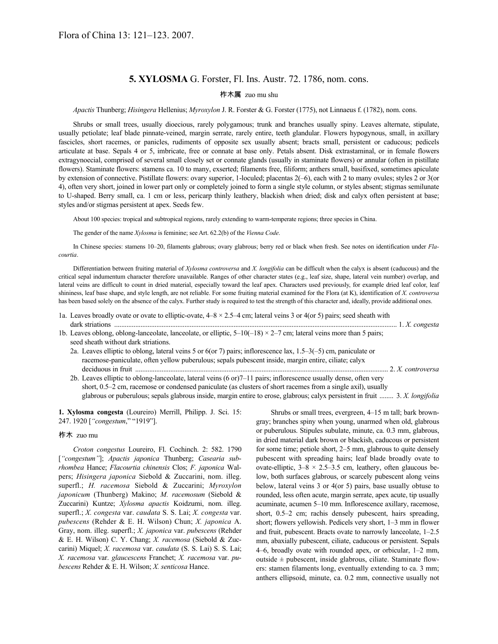# **5. XYLOSMA** G. Forster, Fl. Ins. Austr. 72. 1786, nom. cons.

## 柞木属 zuo mu shu

*Apactis* Thunberg; *Hisingera* Hellenius; *Myroxylon* J. R. Forster & G. Forster (1775), not Linnaeus f. (1782), nom. cons.

Shrubs or small trees, usually dioecious, rarely polygamous; trunk and branches usually spiny. Leaves alternate, stipulate, usually petiolate; leaf blade pinnate-veined, margin serrate, rarely entire, teeth glandular. Flowers hypogynous, small, in axillary fascicles, short racemes, or panicles, rudiments of opposite sex usually absent; bracts small, persistent or caducous; pedicels articulate at base. Sepals 4 or 5, imbricate, free or connate at base only. Petals absent. Disk extrastaminal, or in female flowers extragynoecial, comprised of several small closely set or connate glands (usually in staminate flowers) or annular (often in pistillate flowers). Staminate flowers: stamens ca. 10 to many, exserted; filaments free, filiform; anthers small, basifixed, sometimes apiculate by extension of connective. Pistillate flowers: ovary superior, 1-loculed; placentas 2(–6), each with 2 to many ovules; styles 2 or 3(or 4), often very short, joined in lower part only or completely joined to form a single style column, or styles absent; stigmas semilunate to U-shaped. Berry small, ca. 1 cm or less, pericarp thinly leathery, blackish when dried; disk and calyx often persistent at base; styles and/or stigmas persistent at apex. Seeds few.

About 100 species: tropical and subtropical regions, rarely extending to warm-temperate regions; three species in China.

The gender of the name *Xylosma* is feminine; see Art. 62.2(b) of the *Vienna Code*.

In Chinese species: stamens 10–20, filaments glabrous; ovary glabrous; berry red or black when fresh. See notes on identification under *Flacourtia*.

Differentiation between fruiting material of *Xylosma controversa* and *X. longifolia* can be difficult when the calyx is absent (caducous) and the critical sepal indumentum character therefore unavailable. Ranges of other character states (e.g., leaf size, shape, lateral vein number) overlap, and lateral veins are difficult to count in dried material, especially toward the leaf apex. Characters used previously, for example dried leaf color, leaf shininess, leaf base shape, and style length, are not reliable. For some fruiting material examined for the Flora (at K), identification of *X. controversa* has been based solely on the absence of the calyx. Further study is required to test the strength of this character and, ideally, provide additional ones.

- 1a. Leaves broadly ovate or ovate to elliptic-ovate,  $4-8 \times 2.5-4$  cm; lateral veins 3 or 4(or 5) pairs; seed sheath with dark striations ................................................................................................................................................................. 1. *X. congesta*
- 1b. Leaves oblong, oblong-lanceolate, lanceolate, or elliptic,  $5-10(-18) \times 2-7$  cm; lateral veins more than 5 pairs; seed sheath without dark striations.
	- 2a. Leaves elliptic to oblong, lateral veins 5 or 6(or 7) pairs; inflorescence lax, 1.5–3(–5) cm, paniculate or racemose-paniculate, often yellow puberulous; sepals pubescent inside, margin entire, ciliate; calyx deciduous in fruit ................................................................................................................................................ 2. *X. controversa*
	- 2b. Leaves elliptic to oblong-lanceolate, lateral veins (6 or)7–11 pairs; inflorescence usually dense, often very short, 0.5–2 cm, racemose or condensed paniculate (as clusters of short racemes from a single axil), usually glabrous or puberulous; sepals glabrous inside, margin entire to erose, glabrous; calyx persistent in fruit ........ 3. *X. longifolia*

**1. Xylosma congesta** (Loureiro) Merrill, Philipp. J. Sci. 15: 247. 1920 [*"congestum*," "1919"].

#### 柞木 zuo mu

*Croton congestus* Loureiro, Fl. Cochinch. 2: 582. 1790 [*"congestum"*]; *Apactis japonica* Thunberg; *Casearia subrhombea* Hance; *Flacourtia chinensis* Clos; *F. japonica* Walpers; *Hisingera japonica* Siebold & Zuccarini, nom. illeg. superfl.; *H. racemosa* Siebold & Zuccarini; *Myroxylon japonicum* (Thunberg) Makino; *M. racemosum* (Siebold & Zuccarini) Kuntze; *Xylosma apactis* Koidzumi, nom. illeg. superfl.; *X. congesta* var. *caudata* S. S. Lai; *X. congesta* var. *pubescens* (Rehder & E. H. Wilson) Chun; *X. japonica* A. Gray, nom. illeg. superfl.; *X. japonica* var. *pubescens* (Rehder & E. H. Wilson) C. Y. Chang; *X. racemosa* (Siebold & Zuccarini) Miquel; *X. racemosa* var. *caudata* (S. S. Lai) S. S. Lai; *X. racemosa* var. *glaucescens* Franchet; *X. racemosa* var. *pubescens* Rehder & E. H. Wilson; *X. senticosa* Hance.

Shrubs or small trees, evergreen, 4–15 m tall; bark browngray; branches spiny when young, unarmed when old, glabrous or puberulous. Stipules subulate, minute, ca. 0.3 mm, glabrous, in dried material dark brown or blackish, caducous or persistent for some time; petiole short, 2–5 mm, glabrous to quite densely pubescent with spreading hairs; leaf blade broadly ovate to ovate-elliptic,  $3-8 \times 2.5-3.5$  cm, leathery, often glaucous below, both surfaces glabrous, or scarcely pubescent along veins below, lateral veins 3 or 4(or 5) pairs, base usually obtuse to rounded, less often acute, margin serrate, apex acute, tip usually acuminate, acumen 5–10 mm. Inflorescence axillary, racemose, short, 0.5–2 cm; rachis densely pubescent, hairs spreading, short; flowers yellowish. Pedicels very short, 1–3 mm in flower and fruit, pubescent. Bracts ovate to narrowly lanceolate, 1–2.5 mm, abaxially pubescent, ciliate, caducous or persistent. Sepals 4–6, broadly ovate with rounded apex, or orbicular, 1–2 mm, outside  $\pm$  pubescent, inside glabrous, ciliate. Staminate flowers: stamen filaments long, eventually extending to ca. 3 mm; anthers ellipsoid, minute, ca. 0.2 mm, connective usually not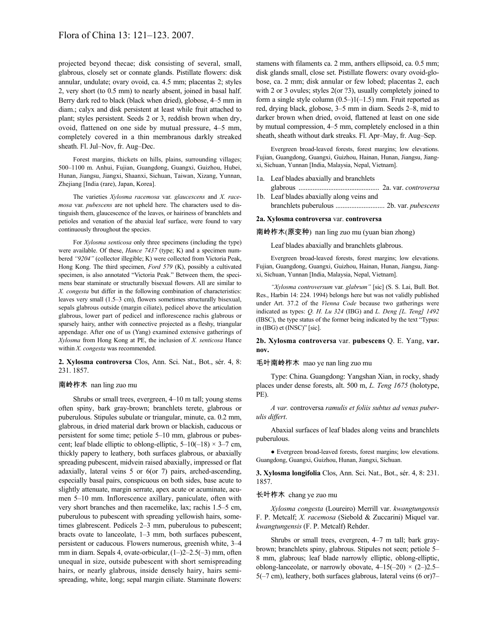projected beyond thecae; disk consisting of several, small, glabrous, closely set or connate glands. Pistillate flowers: disk annular, undulate; ovary ovoid, ca. 4.5 mm; placentas 2; styles 2, very short (to 0.5 mm) to nearly absent, joined in basal half. Berry dark red to black (black when dried), globose, 4–5 mm in diam.; calyx and disk persistent at least while fruit attached to plant; styles persistent. Seeds 2 or 3, reddish brown when dry, ovoid, flattened on one side by mutual pressure, 4–5 mm, completely covered in a thin membranous darkly streaked sheath. Fl. Jul–Nov, fr. Aug–Dec.

Forest margins, thickets on hills, plains, surrounding villages; 500–1100 m. Anhui, Fujian, Guangdong, Guangxi, Guizhou, Hubei, Hunan, Jiangsu, Jiangxi, Shaanxi, Sichuan, Taiwan, Xizang, Yunnan, Zhejiang [India (rare), Japan, Korea].

The varieties *Xylosma racemosa* var. *glaucescens* and *X. racemosa* var. *pubescens* are not upheld here. The characters used to distinguish them, glaucescence of the leaves, or hairiness of branchlets and petioles and venation of the abaxial leaf surface, were found to vary continuously throughout the species.

For *Xylosma senticosa* only three specimens (including the type) were available. Of these, *Hance 7437* (type; K) and a specimen numbered *"9204"* (collector illegible; K) were collected from Victoria Peak, Hong Kong. The third specimen, *Ford 579* (K), possibly a cultivated specimen, is also annotated "Victoria Peak." Between them, the specimens bear staminate or structurally bisexual flowers. All are similar to *X. congesta* but differ in the following combination of characteristics: leaves very small (1.5–3 cm), flowers sometimes structurally bisexual, sepals glabrous outside (margin ciliate), pedicel above the articulation glabrous, lower part of pedicel and inflorescence rachis glabrous or sparsely hairy, anther with connective projected as a fleshy, triangular appendage. After one of us (Yang) examined extensive gatherings of *Xylosma* from Hong Kong at PE, the inclusion of *X. senticosa* Hance within *X. congesta* was recommended.

### **2. Xylosma controversa** Clos, Ann. Sci. Nat., Bot., sér. 4, 8: 231. 1857.

## 南岭柞木 nan ling zuo mu

Shrubs or small trees, evergreen, 4–10 m tall; young stems often spiny, bark gray-brown; branchlets terete, glabrous or puberulous. Stipules subulate or triangular, minute, ca. 0.2 mm, glabrous, in dried material dark brown or blackish, caducous or persistent for some time; petiole 5–10 mm, glabrous or pubescent; leaf blade elliptic to oblong-elliptic,  $5-10(-18) \times 3-7$  cm, thickly papery to leathery, both surfaces glabrous, or abaxially spreading pubescent, midvein raised abaxially, impressed or flat adaxially, lateral veins 5 or 6(or 7) pairs, arched-ascending, especially basal pairs, conspicuous on both sides, base acute to slightly attenuate, margin serrate, apex acute or acuminate, acumen 5–10 mm. Inflorescence axillary, paniculate, often with very short branches and then racemelike, lax; rachis 1.5–5 cm, puberulous to pubescent with spreading yellowish hairs, sometimes glabrescent. Pedicels 2–3 mm, puberulous to pubescent; bracts ovate to lanceolate, 1–3 mm, both surfaces pubescent, persistent or caducous. Flowers numerous, greenish white, 3–4 mm in diam. Sepals 4, ovate-orbicular,(1–)2–2.5(–3) mm, often unequal in size, outside pubescent with short semispreading hairs, or nearly glabrous, inside densely hairy, hairs semispreading, white, long; sepal margin ciliate. Staminate flowers:

stamens with filaments ca. 2 mm, anthers ellipsoid, ca. 0.5 mm; disk glands small, close set. Pistillate flowers: ovary ovoid-globose, ca. 2 mm; disk annular or few lobed; placentas 2, each with 2 or 3 ovules; styles 2(or ?3), usually completely joined to form a single style column  $(0.5-1)(-1.5)$  mm. Fruit reported as red, drying black, globose, 3–5 mm in diam. Seeds 2–8, mid to darker brown when dried, ovoid, flattened at least on one side by mutual compression, 4–5 mm, completely enclosed in a thin sheath, sheath without dark streaks. Fl. Apr–May, fr. Aug–Sep.

Evergreen broad-leaved forests, forest margins; low elevations. Fujian, Guangdong, Guangxi, Guizhou, Hainan, Hunan, Jiangsu, Jiangxi, Sichuan, Yunnan [India, Malaysia, Nepal, Vietnam].

- 1a. Leaf blades abaxially and branchlets
- glabrous .............................................. 2a. var. *controversa* 1b. Leaf blades abaxially along veins and
	- branchlets puberulous ............................ 2b. var. *pubescens*

## **2a. Xylosma controversa** var. **controversa**

南岭柞木(原变种) nan ling zuo mu (yuan bian zhong)

Leaf blades abaxially and branchlets glabrous.

Evergreen broad-leaved forests, forest margins; low elevations. Fujian, Guangdong, Guangxi, Guizhou, Hainan, Hunan, Jiangsu, Jiangxi, Sichuan, Yunnan [India, Malaysia, Nepal, Vietnam].

*"Xylosma controversum* var. *glabrum"* [sic] (S. S. Lai, Bull. Bot. Res., Harbin 14: 224. 1994) belongs here but was not validly published under Art. 37.2 of the *Vienna Code* because two gatherings were indicated as types: *Q. H. Lu 324* (IBG) and *L. Deng [L. Teng] 1492* (IBSC), the type status of the former being indicated by the text "Typus: in (IBG) et (INSC)" [sic].

**2b. Xylosma controversa** var. **pubescens** Q. E. Yang, **var. nov.**

#### 毛叶南岭柞木 mao ye nan ling zuo mu

Type: China. Guangdong: Yangshan Xian, in rocky, shady places under dense forests, alt. 500 m, *L. Teng 1675* (holotype, PE).

*A var.* controversa *ramulis et foliis subtus ad venas puberulis differt*.

Abaxial surfaces of leaf blades along veins and branchlets puberulous.

● Evergreen broad-leaved forests, forest margins; low elevations. Guangdong, Guangxi, Guizhou, Hunan, Jiangxi, Sichuan.

**3. Xylosma longifolia** Clos, Ann. Sci. Nat., Bot., sér. 4, 8: 231. 1857.

#### 长叶柞木 chang ye zuo mu

*Xylosma congesta* (Loureiro) Merrill var. *kwangtungensis* F. P. Metcalf; *X. racemosa* (Siebold & Zuccarini) Miquel var. *kwangtungensis* (F. P. Metcalf) Rehder.

Shrubs or small trees, evergreen, 4–7 m tall; bark graybrown; branchlets spiny, glabrous. Stipules not seen; petiole 5– 8 mm, glabrous; leaf blade narrowly elliptic, oblong-elliptic, oblong-lanceolate, or narrowly obovate,  $4-15(-20) \times (2-2)$ .5– 5(–7 cm), leathery, both surfaces glabrous, lateral veins (6 or)7–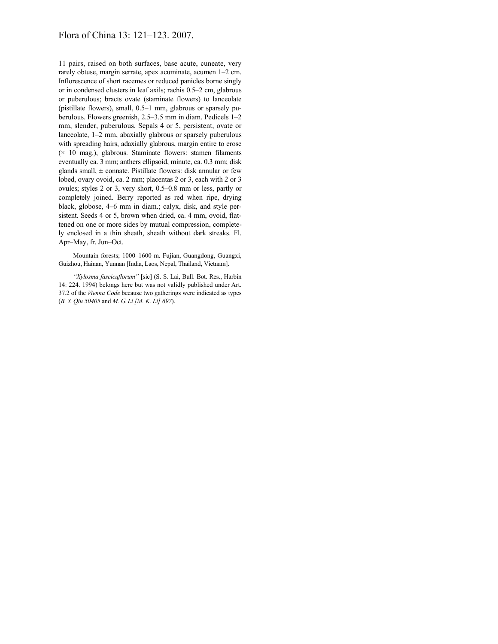# Flora of China 13: 121–123. 2007.

11 pairs, raised on both surfaces, base acute, cuneate, very rarely obtuse, margin serrate, apex acuminate, acumen 1–2 cm. Inflorescence of short racemes or reduced panicles borne singly or in condensed clusters in leaf axils; rachis 0.5–2 cm, glabrous or puberulous; bracts ovate (staminate flowers) to lanceolate (pistillate flowers), small, 0.5–1 mm, glabrous or sparsely puberulous. Flowers greenish, 2.5–3.5 mm in diam. Pedicels 1–2 mm, slender, puberulous. Sepals 4 or 5, persistent, ovate or lanceolate, 1–2 mm, abaxially glabrous or sparsely puberulous with spreading hairs, adaxially glabrous, margin entire to erose  $(x 10$  mag.), glabrous. Staminate flowers: stamen filaments eventually ca. 3 mm; anthers ellipsoid, minute, ca. 0.3 mm; disk glands small,  $\pm$  connate. Pistillate flowers: disk annular or few lobed, ovary ovoid, ca. 2 mm; placentas 2 or 3, each with 2 or 3 ovules; styles 2 or 3, very short, 0.5–0.8 mm or less, partly or completely joined. Berry reported as red when ripe, drying black, globose, 4–6 mm in diam.; calyx, disk, and style persistent. Seeds 4 or 5, brown when dried, ca. 4 mm, ovoid, flattened on one or more sides by mutual compression, completely enclosed in a thin sheath, sheath without dark streaks. Fl. Apr–May, fr. Jun–Oct.

Mountain forests; 1000–1600 m. Fujian, Guangdong, Guangxi, Guizhou, Hainan, Yunnan [India, Laos, Nepal, Thailand, Vietnam].

*"Xylosma fascicuflorum"* [sic] (S. S. Lai, Bull. Bot. Res., Harbin 14: 224. 1994) belongs here but was not validly published under Art. 37.2 of the *Vienna Code* because two gatherings were indicated as types (*B. Y. Qiu 50405* and *M. G. Li [M. K. Li] 697*).